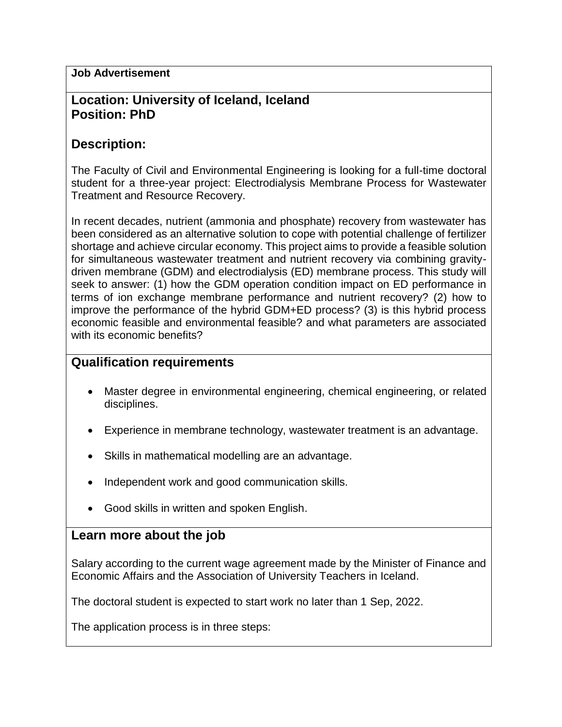#### **Job Advertisement**

## **Location: University of Iceland, Iceland Position: PhD**

## **Description:**

The Faculty of Civil and Environmental Engineering is looking for a full-time doctoral student for a three-year project: Electrodialysis Membrane Process for Wastewater Treatment and Resource Recovery.

In recent decades, nutrient (ammonia and phosphate) recovery from wastewater has been considered as an alternative solution to cope with potential challenge of fertilizer shortage and achieve circular economy. This project aims to provide a feasible solution for simultaneous wastewater treatment and nutrient recovery via combining gravitydriven membrane (GDM) and electrodialysis (ED) membrane process. This study will seek to answer: (1) how the GDM operation condition impact on ED performance in terms of ion exchange membrane performance and nutrient recovery? (2) how to improve the performance of the hybrid GDM+ED process? (3) is this hybrid process economic feasible and environmental feasible? and what parameters are associated with its economic benefits?

# **Qualification requirements**

- Master degree in environmental engineering, chemical engineering, or related disciplines.
- Experience in membrane technology, wastewater treatment is an advantage.
- Skills in mathematical modelling are an advantage.
- Independent work and good communication skills.
- Good skills in written and spoken English.

#### **Learn more about the job**

Salary according to the current wage agreement made by the Minister of Finance and Economic Affairs and the Association of University Teachers in Iceland.

The doctoral student is expected to start work no later than 1 Sep, 2022.

The application process is in three steps: